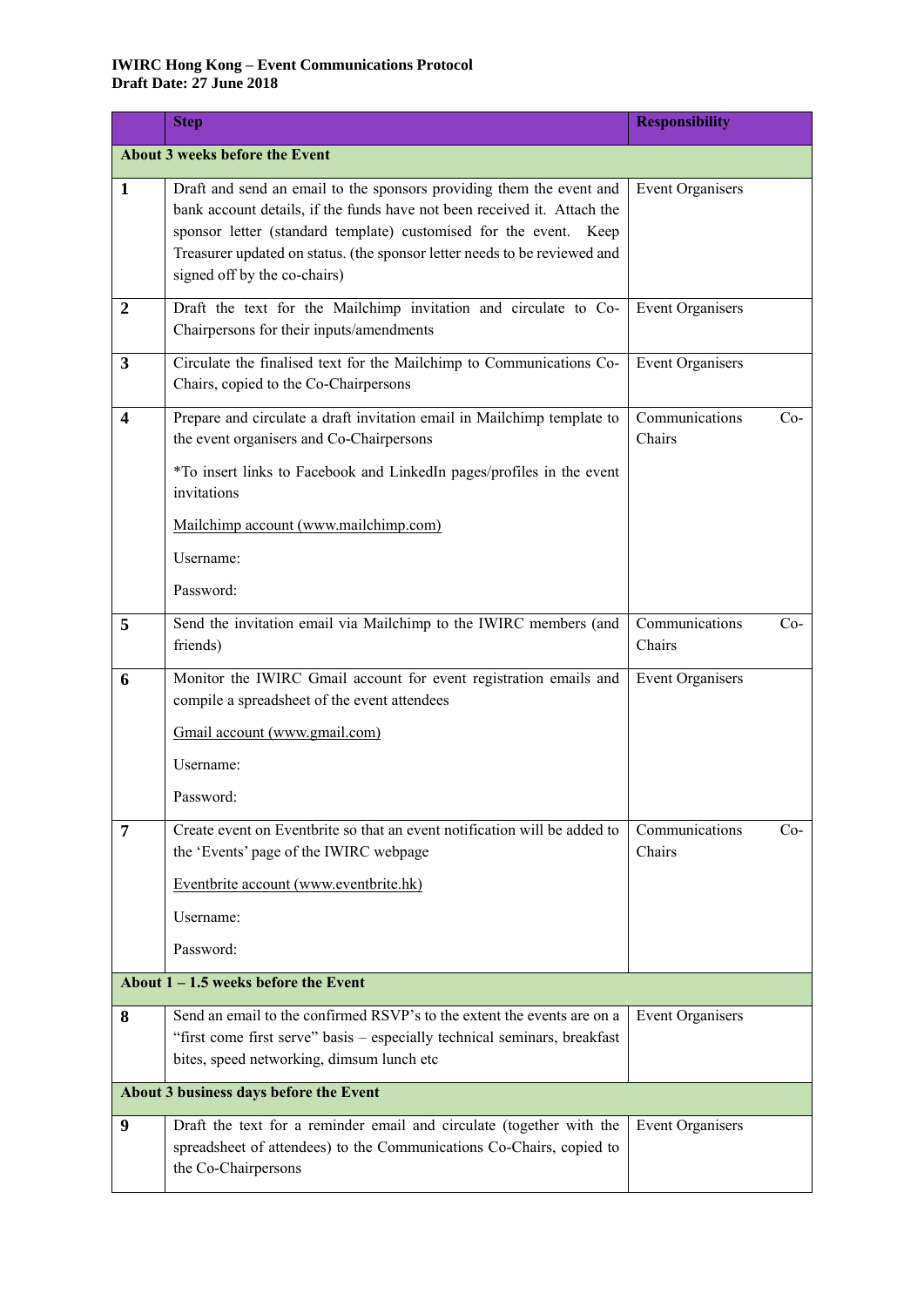## **IWIRC Hong Kong – Event Communications Protocol Draft Date: 27 June 2018**

|                                        | <b>Step</b>                                                                                                                                                                                                                                                                                                                        | <b>Responsibility</b>             |  |
|----------------------------------------|------------------------------------------------------------------------------------------------------------------------------------------------------------------------------------------------------------------------------------------------------------------------------------------------------------------------------------|-----------------------------------|--|
| About 3 weeks before the Event         |                                                                                                                                                                                                                                                                                                                                    |                                   |  |
| 1                                      | Draft and send an email to the sponsors providing them the event and<br>bank account details, if the funds have not been received it. Attach the<br>sponsor letter (standard template) customised for the event. Keep<br>Treasurer updated on status. (the sponsor letter needs to be reviewed and<br>signed off by the co-chairs) | <b>Event Organisers</b>           |  |
| $\boldsymbol{2}$                       | Draft the text for the Mailchimp invitation and circulate to Co-<br>Chairpersons for their inputs/amendments                                                                                                                                                                                                                       | <b>Event Organisers</b>           |  |
| 3                                      | Circulate the finalised text for the Mailchimp to Communications Co-<br>Chairs, copied to the Co-Chairpersons                                                                                                                                                                                                                      | <b>Event Organisers</b>           |  |
| 4                                      | Prepare and circulate a draft invitation email in Mailchimp template to<br>the event organisers and Co-Chairpersons<br>*To insert links to Facebook and LinkedIn pages/profiles in the event<br>invitations                                                                                                                        | Communications<br>$Co-$<br>Chairs |  |
|                                        | Mailchimp account (www.mailchimp.com)<br>Username:<br>Password:                                                                                                                                                                                                                                                                    |                                   |  |
| 5                                      | Send the invitation email via Mailchimp to the IWIRC members (and<br>friends)                                                                                                                                                                                                                                                      | Communications<br>$Co-$<br>Chairs |  |
| 6                                      | Monitor the IWIRC Gmail account for event registration emails and<br>compile a spreadsheet of the event attendees                                                                                                                                                                                                                  | <b>Event Organisers</b>           |  |
|                                        | Gmail account (www.gmail.com)                                                                                                                                                                                                                                                                                                      |                                   |  |
|                                        | Username:                                                                                                                                                                                                                                                                                                                          |                                   |  |
|                                        | Password:                                                                                                                                                                                                                                                                                                                          |                                   |  |
| 7                                      | Create event on Eventbrite so that an event notification will be added to<br>the 'Events' page of the IWIRC webpage                                                                                                                                                                                                                | Communications<br>$Co-$<br>Chairs |  |
|                                        | Eventbrite account (www.eventbrite.hk)                                                                                                                                                                                                                                                                                             |                                   |  |
|                                        | Username:                                                                                                                                                                                                                                                                                                                          |                                   |  |
|                                        | Password:                                                                                                                                                                                                                                                                                                                          |                                   |  |
| About $1 - 1.5$ weeks before the Event |                                                                                                                                                                                                                                                                                                                                    |                                   |  |
| 8                                      | Send an email to the confirmed RSVP's to the extent the events are on a<br>"first come first serve" basis - especially technical seminars, breakfast<br>bites, speed networking, dimsum lunch etc                                                                                                                                  | <b>Event Organisers</b>           |  |
| About 3 business days before the Event |                                                                                                                                                                                                                                                                                                                                    |                                   |  |
| 9                                      | Draft the text for a reminder email and circulate (together with the<br>spreadsheet of attendees) to the Communications Co-Chairs, copied to<br>the Co-Chairpersons                                                                                                                                                                | <b>Event Organisers</b>           |  |